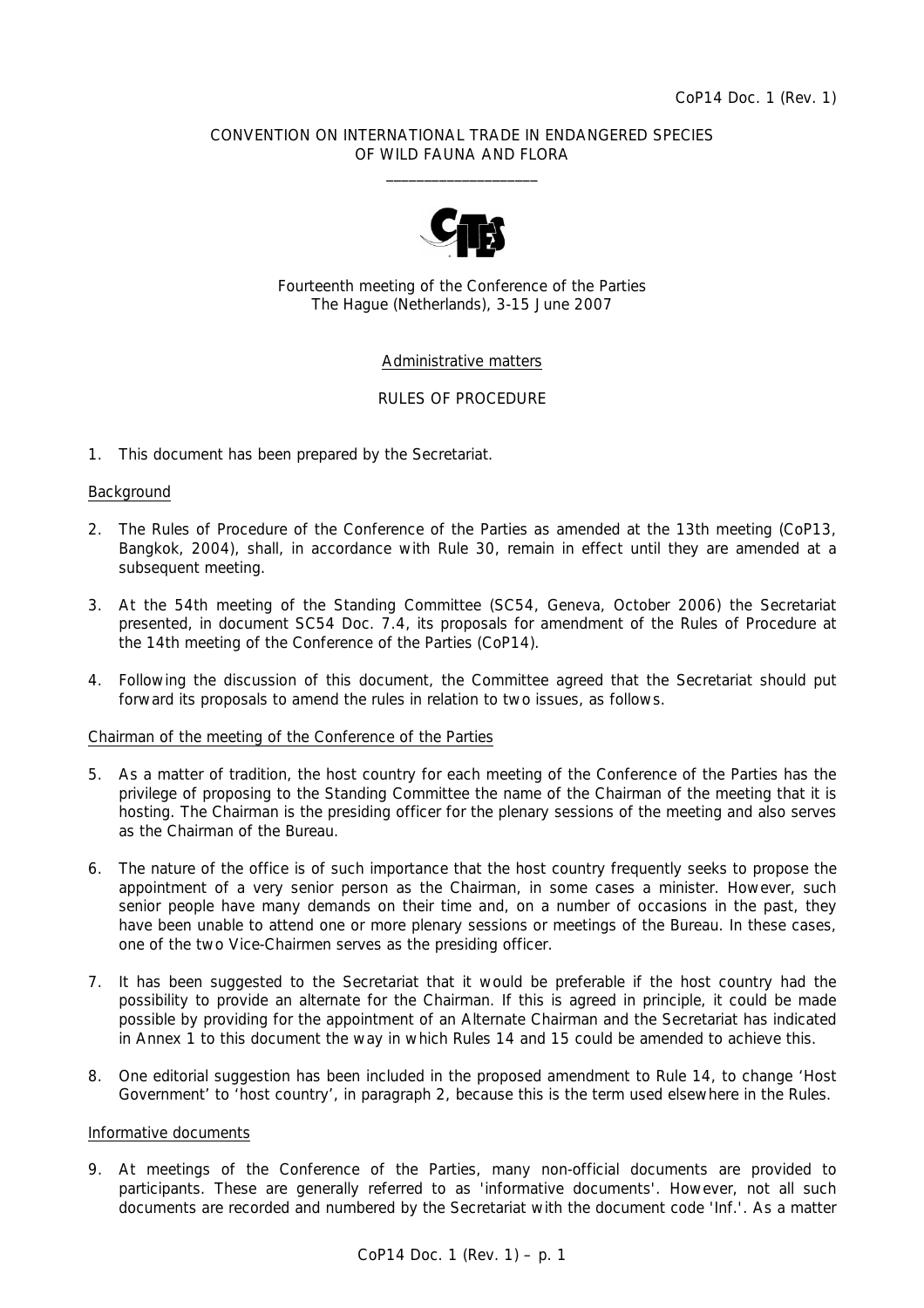#### CONVENTION ON INTERNATIONAL TRADE IN ENDANGERED SPECIES OF WILD FAUNA AND FLORA  $\frac{1}{2}$  , and the set of the set of the set of the set of the set of the set of the set of the set of the set of the set of the set of the set of the set of the set of the set of the set of the set of the set of the set



Fourteenth meeting of the Conference of the Parties The Hague (Netherlands), 3-15 June 2007

#### Administrative matters

#### RULES OF PROCEDURE

1. This document has been prepared by the Secretariat.

#### Background

- 2. The Rules of Procedure of the Conference of the Parties as amended at the 13th meeting (CoP13, Bangkok, 2004), shall, in accordance with Rule 30, remain in effect until they are amended at a subsequent meeting.
- 3. At the 54th meeting of the Standing Committee (SC54, Geneva, October 2006) the Secretariat presented, in document SC54 Doc. 7.4, its proposals for amendment of the Rules of Procedure at the 14th meeting of the Conference of the Parties (CoP14).
- 4. Following the discussion of this document, the Committee agreed that the Secretariat should put forward its proposals to amend the rules in relation to two issues, as follows.

#### Chairman of the meeting of the Conference of the Parties

- 5. As a matter of tradition, the host country for each meeting of the Conference of the Parties has the privilege of proposing to the Standing Committee the name of the Chairman of the meeting that it is hosting. The Chairman is the presiding officer for the plenary sessions of the meeting and also serves as the Chairman of the Bureau.
- 6. The nature of the office is of such importance that the host country frequently seeks to propose the appointment of a very senior person as the Chairman, in some cases a minister. However, such senior people have many demands on their time and, on a number of occasions in the past, they have been unable to attend one or more plenary sessions or meetings of the Bureau. In these cases, one of the two Vice-Chairmen serves as the presiding officer.
- 7. It has been suggested to the Secretariat that it would be preferable if the host country had the possibility to provide an alternate for the Chairman. If this is agreed in principle, it could be made possible by providing for the appointment of an Alternate Chairman and the Secretariat has indicated in Annex 1 to this document the way in which Rules 14 and 15 could be amended to achieve this.
- 8. One editorial suggestion has been included in the proposed amendment to Rule 14, to change 'Host Government' to 'host country', in paragraph 2, because this is the term used elsewhere in the Rules.

#### Informative documents

9. At meetings of the Conference of the Parties, many non-official documents are provided to participants. These are generally referred to as 'informative documents'. However, not all such documents are recorded and numbered by the Secretariat with the document code 'Inf.'. As a matter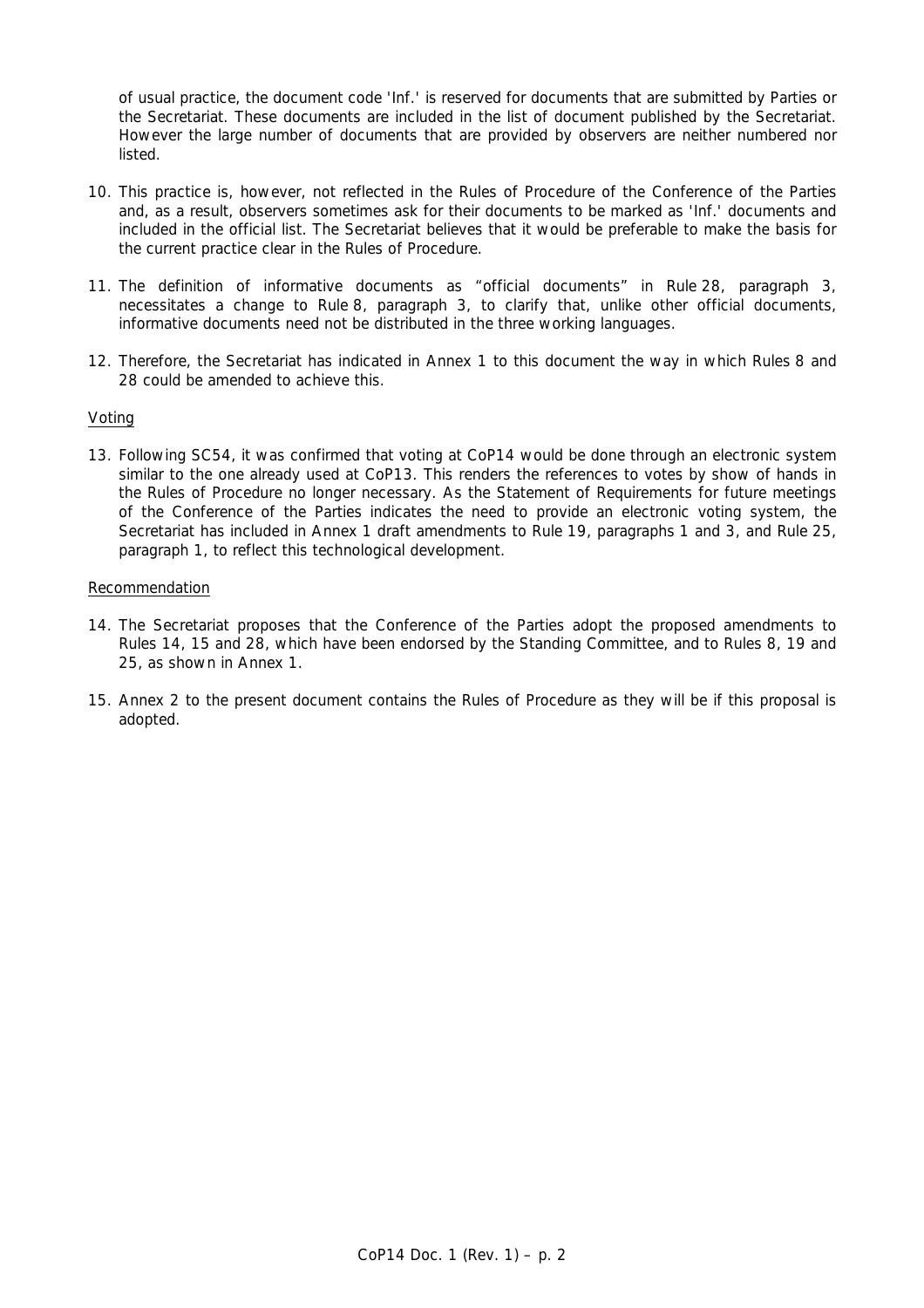of usual practice, the document code 'Inf.' is reserved for documents that are submitted by Parties or the Secretariat. These documents are included in the list of document published by the Secretariat. However the large number of documents that are provided by observers are neither numbered nor listed.

- 10. This practice is, however, not reflected in the Rules of Procedure of the Conference of the Parties and, as a result, observers sometimes ask for their documents to be marked as 'Inf.' documents and included in the official list. The Secretariat believes that it would be preferable to make the basis for the current practice clear in the Rules of Procedure.
- 11. The definition of informative documents as "official documents" in Rule 28, paragraph 3, necessitates a change to Rule 8, paragraph 3, to clarify that, unlike other official documents, informative documents need not be distributed in the three working languages.
- 12. Therefore, the Secretariat has indicated in Annex 1 to this document the way in which Rules 8 and 28 could be amended to achieve this.

### Voting

13. Following SC54, it was confirmed that voting at CoP14 would be done through an electronic system similar to the one already used at CoP13. This renders the references to votes by show of hands in the Rules of Procedure no longer necessary. As the Statement of Requirements for future meetings of the Conference of the Parties indicates the need to provide an electronic voting system, the Secretariat has included in Annex 1 draft amendments to Rule 19, paragraphs 1 and 3, and Rule 25, paragraph 1, to reflect this technological development.

#### Recommendation

- 14. The Secretariat proposes that the Conference of the Parties adopt the proposed amendments to Rules 14, 15 and 28, which have been endorsed by the Standing Committee, and to Rules 8, 19 and 25, as shown in Annex 1.
- 15. Annex 2 to the present document contains the Rules of Procedure as they will be if this proposal is adopted.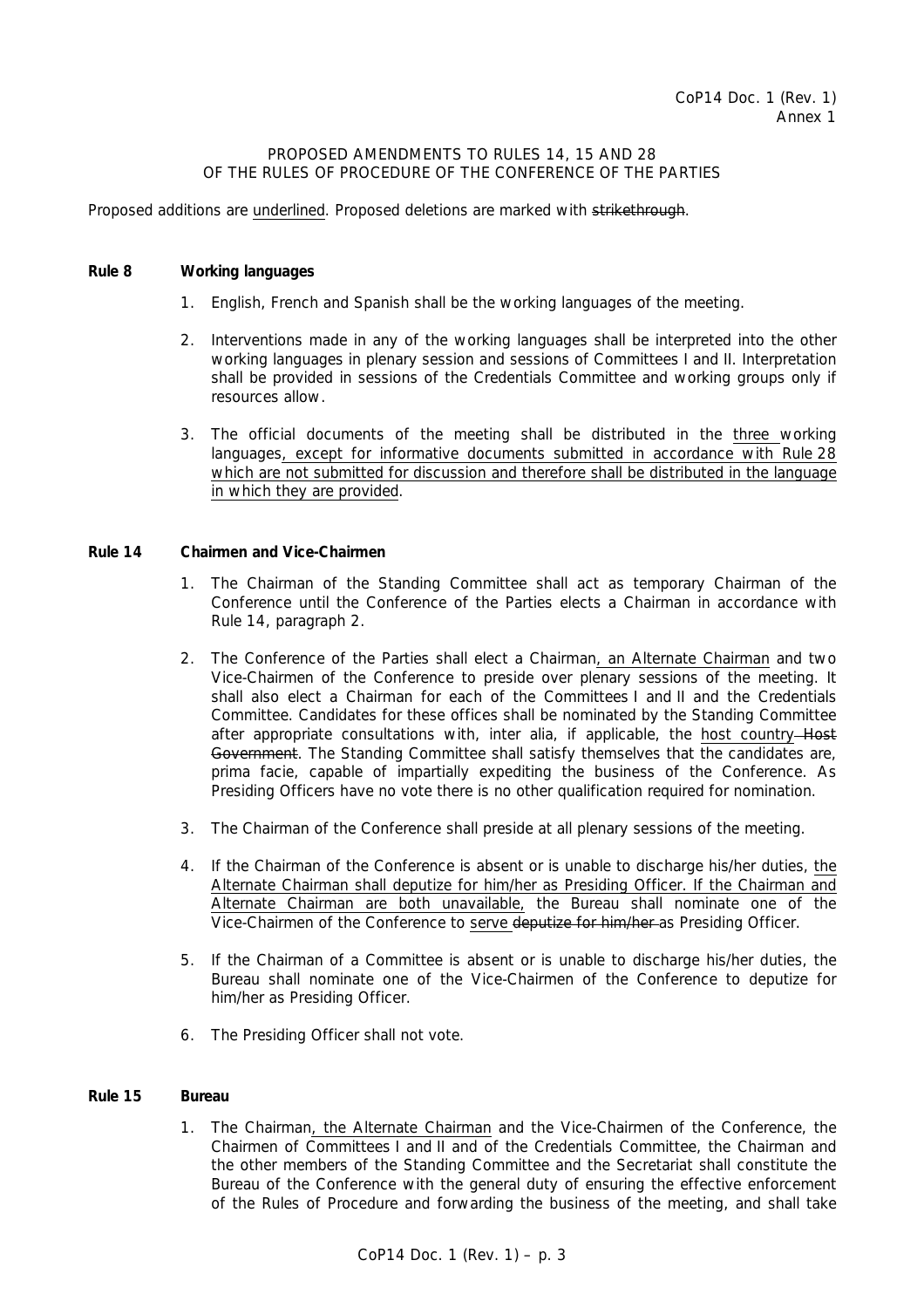#### PROPOSED AMENDMENTS TO RULES 14, 15 AND 28 OF THE RULES OF PROCEDURE OF THE CONFERENCE OF THE PARTIES

Proposed additions are underlined. Proposed deletions are marked with strikethrough.

### *Rule 8 Working languages*

- 1. English, French and Spanish shall be the working languages of the meeting.
- 2. Interventions made in any of the working languages shall be interpreted into the other working languages in plenary session and sessions of Committees I and II. Interpretation shall be provided in sessions of the Credentials Committee and working groups only if resources allow.
- 3. The official documents of the meeting shall be distributed in the three working languages, except for informative documents submitted in accordance with Rule 28 which are not submitted for discussion and therefore shall be distributed in the language in which they are provided.

#### *Rule 14 Chairmen and Vice-Chairmen*

- 1. The Chairman of the Standing Committee shall act as temporary Chairman of the Conference until the Conference of the Parties elects a Chairman in accordance with Rule 14, paragraph 2.
- 2. The Conference of the Parties shall elect a Chairman, an Alternate Chairman and two Vice-Chairmen of the Conference to preside over plenary sessions of the meeting. It shall also elect a Chairman for each of the Committees I and II and the Credentials Committee. Candidates for these offices shall be nominated by the Standing Committee after appropriate consultations with, *inter alia*, if applicable, the host country Host Government. The Standing Committee shall satisfy themselves that the candidates are, *prima facie*, capable of impartially expediting the business of the Conference. As Presiding Officers have no vote there is no other qualification required for nomination.
- 3. The Chairman of the Conference shall preside at all plenary sessions of the meeting.
- 4. If the Chairman of the Conference is absent or is unable to discharge his/her duties, the Alternate Chairman shall deputize for him/her as Presiding Officer. If the Chairman and Alternate Chairman are both unavailable, the Bureau shall nominate one of the Vice-Chairmen of the Conference to serve deputize for him/her as Presiding Officer.
- 5. If the Chairman of a Committee is absent or is unable to discharge his/her duties, the Bureau shall nominate one of the Vice-Chairmen of the Conference to deputize for him/her as Presiding Officer.
- 6. The Presiding Officer shall not vote.

#### *Rule 15 Bureau*

 1. The Chairman, the Alternate Chairman and the Vice-Chairmen of the Conference, the Chairmen of Committees I and II and of the Credentials Committee, the Chairman and the other members of the Standing Committee and the Secretariat shall constitute the Bureau of the Conference with the general duty of ensuring the effective enforcement of the Rules of Procedure and forwarding the business of the meeting, and shall take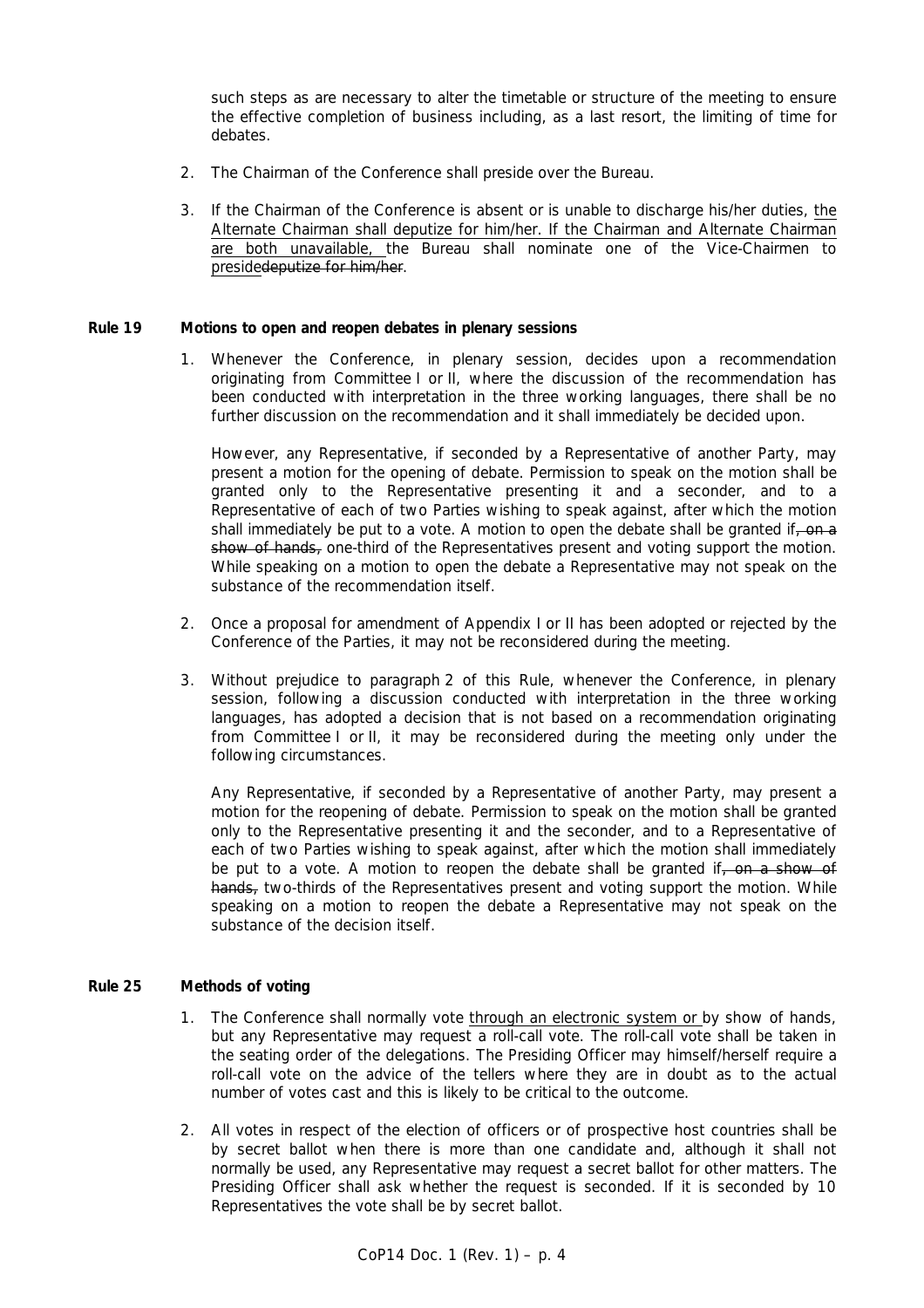such steps as are necessary to alter the timetable or structure of the meeting to ensure the effective completion of business including, as a last resort, the limiting of time for debates.

- 2. The Chairman of the Conference shall preside over the Bureau.
- 3. If the Chairman of the Conference is absent or is unable to discharge his/her duties, the Alternate Chairman shall deputize for him/her. If the Chairman and Alternate Chairman are both unavailable, the Bureau shall nominate one of the Vice-Chairmen to presidedeputize for him/her.

#### *Rule 19 Motions to open and reopen debates in plenary sessions*

 1. Whenever the Conference, in plenary session, decides upon a recommendation originating from Committee I or II, where the discussion of the recommendation has been conducted with interpretation in the three working languages, there shall be no further discussion on the recommendation and it shall immediately be decided upon.

 However, any Representative, if seconded by a Representative of another Party, may present a motion for the opening of debate. Permission to speak on the motion shall be granted only to the Representative presenting it and a seconder, and to a Representative of each of two Parties wishing to speak against, after which the motion shall immediately be put to a vote. A motion to open the debate shall be granted if, on a show of hands, one-third of the Representatives present and voting support the motion. While speaking on a motion to open the debate a Representative may not speak on the substance of the recommendation itself.

- 2. Once a proposal for amendment of Appendix I or II has been adopted or rejected by the Conference of the Parties, it may not be reconsidered during the meeting.
- 3. Without prejudice to paragraph 2 of this Rule, whenever the Conference, in plenary session, following a discussion conducted with interpretation in the three working languages, has adopted a decision that is not based on a recommendation originating from Committee I or II, it may be reconsidered during the meeting only under the following circumstances.

 Any Representative, if seconded by a Representative of another Party, may present a motion for the reopening of debate. Permission to speak on the motion shall be granted only to the Representative presenting it and the seconder, and to a Representative of each of two Parties wishing to speak against, after which the motion shall immediately be put to a vote. A motion to reopen the debate shall be granted if, on a show of hands, two-thirds of the Representatives present and voting support the motion. While speaking on a motion to reopen the debate a Representative may not speak on the substance of the decision itself.

### *Rule 25 Methods of voting*

- 1. The Conference shall normally vote through an electronic system or by show of hands, but any Representative may request a roll-call vote. The roll-call vote shall be taken in the seating order of the delegations. The Presiding Officer may himself/herself require a roll-call vote on the advice of the tellers where they are in doubt as to the actual number of votes cast and this is likely to be critical to the outcome.
- 2. All votes in respect of the election of officers or of prospective host countries shall be by secret ballot when there is more than one candidate and, although it shall not normally be used, any Representative may request a secret ballot for other matters. The Presiding Officer shall ask whether the request is seconded. If it is seconded by 10 Representatives the vote shall be by secret ballot.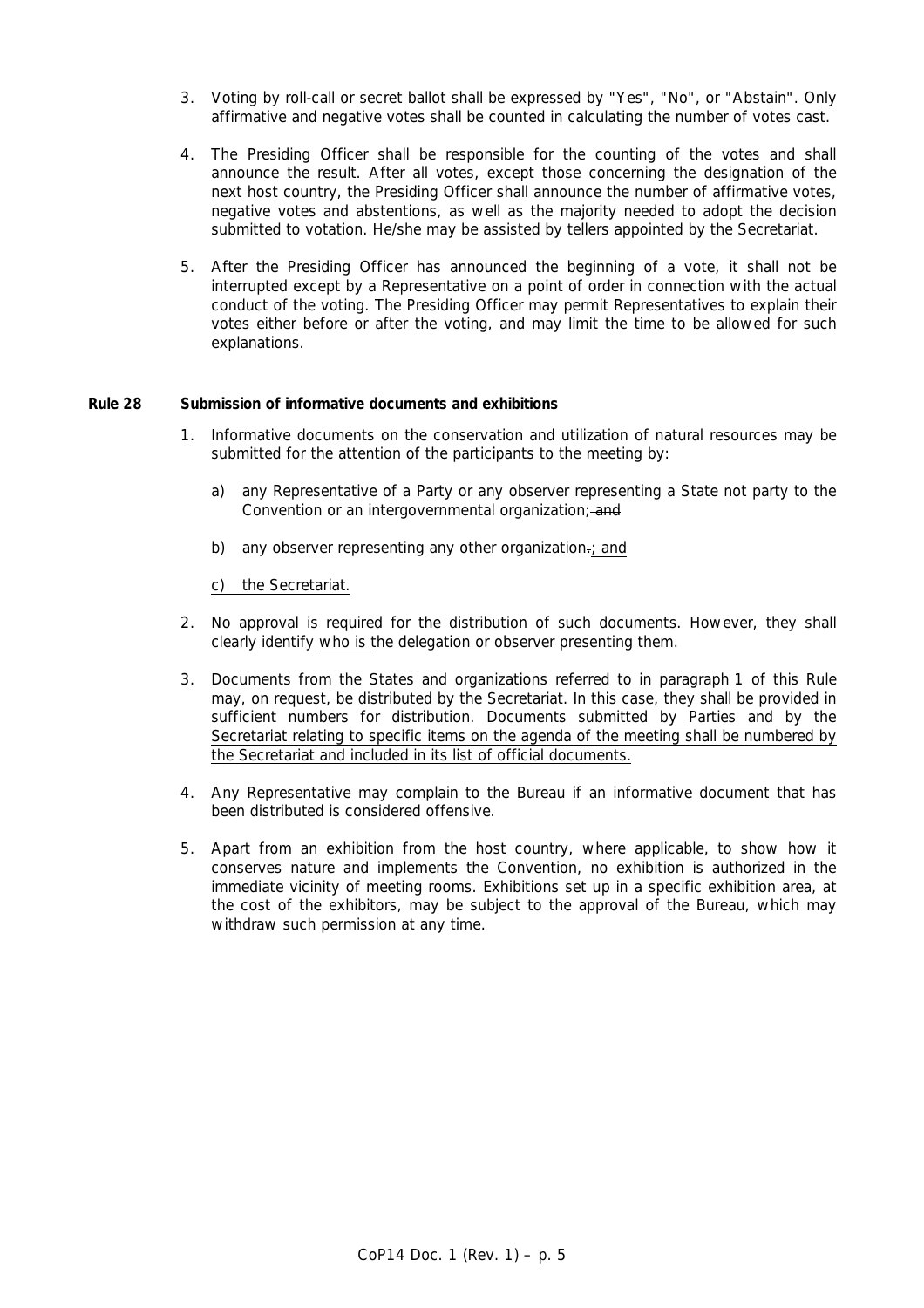- 3. Voting by roll-call or secret ballot shall be expressed by "Yes", "No", or "Abstain". Only affirmative and negative votes shall be counted in calculating the number of votes cast.
- 4. The Presiding Officer shall be responsible for the counting of the votes and shall announce the result. After all votes, except those concerning the designation of the next host country, the Presiding Officer shall announce the number of affirmative votes, negative votes and abstentions, as well as the majority needed to adopt the decision submitted to votation. He/she may be assisted by tellers appointed by the Secretariat.
- 5. After the Presiding Officer has announced the beginning of a vote, it shall not be interrupted except by a Representative on a point of order in connection with the actual conduct of the voting. The Presiding Officer may permit Representatives to explain their votes either before or after the voting, and may limit the time to be allowed for such explanations.

#### *Rule 28 Submission of informative documents and exhibitions*

- 1. Informative documents on the conservation and utilization of natural resources may be submitted for the attention of the participants to the meeting by:
	- a) any Representative of a Party or any observer representing a State not party to the Convention or an intergovernmental organization; and
	- b) any observer representing any other organization-; and

#### c) the Secretariat.

- 2. No approval is required for the distribution of such documents. However, they shall clearly identify who is the delegation or observer-presenting them.
- 3. Documents from the States and organizations referred to in paragraph 1 of this Rule may, on request, be distributed by the Secretariat. In this case, they shall be provided in sufficient numbers for distribution. Documents submitted by Parties and by the Secretariat relating to specific items on the agenda of the meeting shall be numbered by the Secretariat and included in its list of official documents.
- 4. Any Representative may complain to the Bureau if an informative document that has been distributed is considered offensive.
- 5. Apart from an exhibition from the host country, where applicable, to show how it conserves nature and implements the Convention, no exhibition is authorized in the immediate vicinity of meeting rooms. Exhibitions set up in a specific exhibition area, at the cost of the exhibitors, may be subject to the approval of the Bureau, which may withdraw such permission at any time.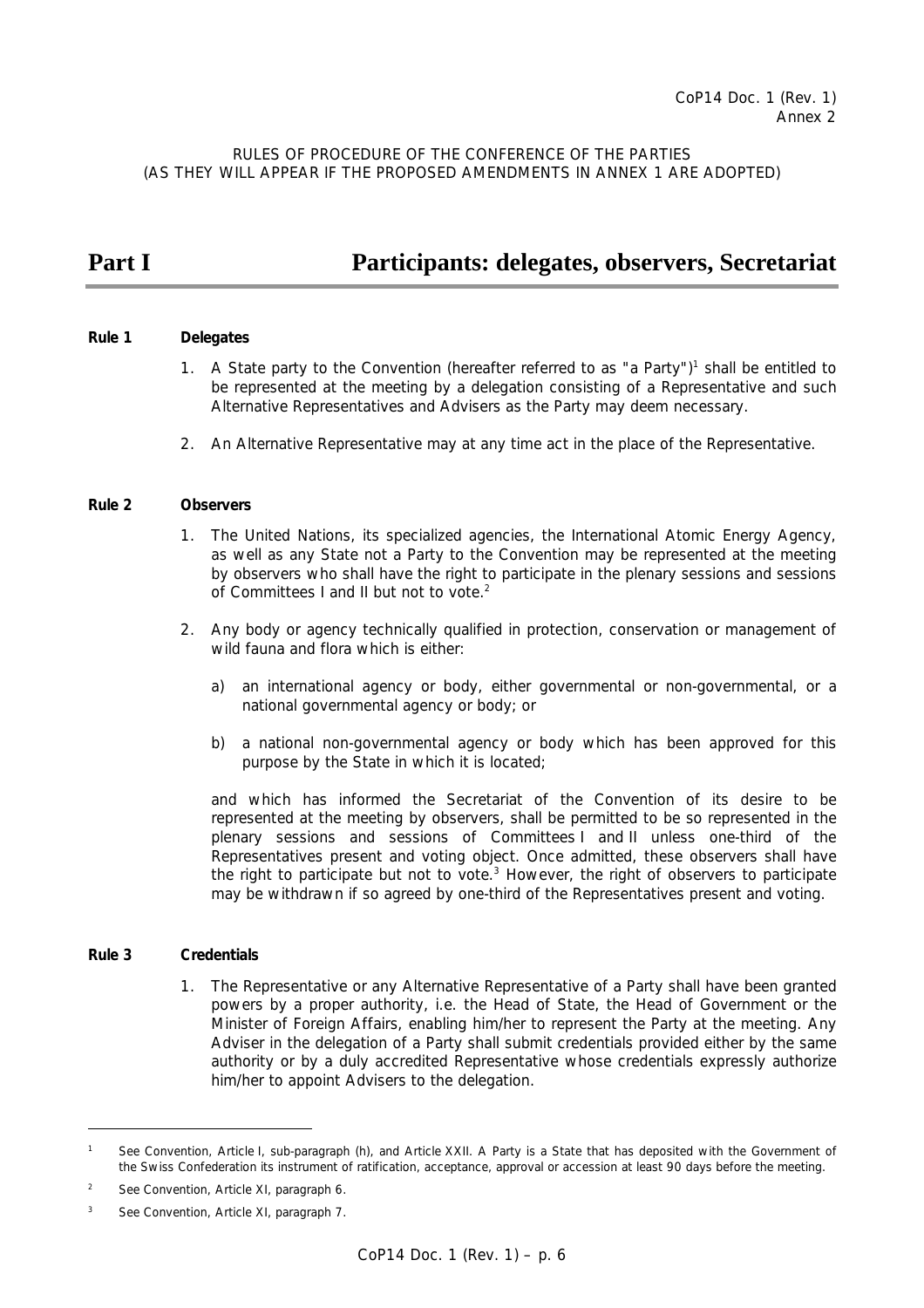RULES OF PROCEDURE OF THE CONFERENCE OF THE PARTIES (AS THEY WILL APPEAR IF THE PROPOSED AMENDMENTS IN ANNEX 1 ARE ADOPTED)

# **Part I Participants: delegates, observers, Secretariat**

#### *Rule 1 Delegates*

- 1. A State party to the Convention (hereafter referred to as "a Party")<sup>1</sup> shall be entitled to be represented at the meeting by a delegation consisting of a Representative and such Alternative Representatives and Advisers as the Party may deem necessary.
	- 2. An Alternative Representative may at any time act in the place of the Representative.

#### *Rule 2 Observers*

- 1. The United Nations, its specialized agencies, the International Atomic Energy Agency, as well as any State not a Party to the Convention may be represented at the meeting by observers who shall have the right to participate in the plenary sessions and sessions of Committees I and II but not to vote.<sup>2</sup>
- 2. Any body or agency technically qualified in protection, conservation or management of wild fauna and flora which is either:
	- a) an international agency or body, either governmental or non-governmental, or a national governmental agency or body; or
	- b) a national non-governmental agency or body which has been approved for this purpose by the State in which it is located;

 and which has informed the Secretariat of the Convention of its desire to be represented at the meeting by observers, shall be permitted to be so represented in the plenary sessions and sessions of Committees I and II unless one-third of the Representatives present and voting object. Once admitted, these observers shall have the right to participate but not to vote. $3$  However, the right of observers to participate may be withdrawn if so agreed by one-third of the Representatives present and voting.

#### *Rule 3 Credentials*

 $\overline{a}$ 

 1. The Representative or any Alternative Representative of a Party shall have been granted powers by a proper authority, i.e. the Head of State, the Head of Government or the Minister of Foreign Affairs, enabling him/her to represent the Party at the meeting. Any Adviser in the delegation of a Party shall submit credentials provided either by the same authority or by a duly accredited Representative whose credentials expressly authorize him/her to appoint Advisers to the delegation.

*<sup>1</sup> See Convention, Article I, sub-paragraph (h), and Article XXII. A Party is a State that has deposited with the Government of the Swiss Confederation its instrument of ratification, acceptance, approval or accession at least 90 days before the meeting.* 

*<sup>2</sup> See Convention, Article XI, paragraph 6.* 

*<sup>3</sup> See Convention, Article XI, paragraph 7.*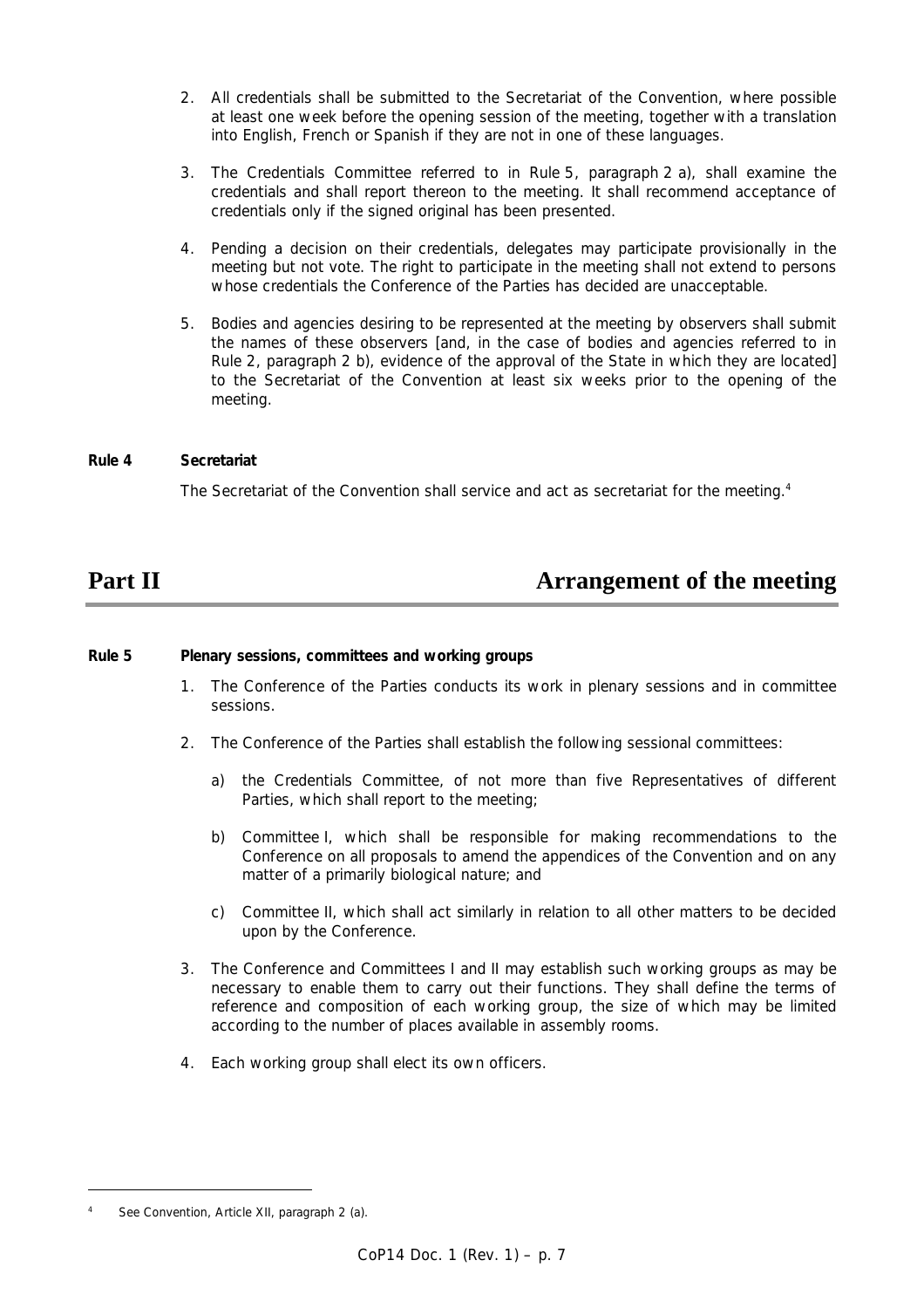- 2. All credentials shall be submitted to the Secretariat of the Convention, where possible at least one week before the opening session of the meeting, together with a translation into English, French or Spanish if they are not in one of these languages.
- 3. The Credentials Committee referred to in Rule 5, paragraph 2 a), shall examine the credentials and shall report thereon to the meeting. It shall recommend acceptance of credentials only if the signed original has been presented.
- 4. Pending a decision on their credentials, delegates may participate provisionally in the meeting but not vote. The right to participate in the meeting shall not extend to persons whose credentials the Conference of the Parties has decided are unacceptable.
- 5. Bodies and agencies desiring to be represented at the meeting by observers shall submit the names of these observers [and, in the case of bodies and agencies referred to in Rule 2, paragraph 2 b), evidence of the approval of the State in which they are located] to the Secretariat of the Convention at least six weeks prior to the opening of the meeting.

### *Rule 4 Secretariat*

The Secretariat of the Convention shall service and act as secretariat for the meeting.<sup>4</sup>

## **Part II Arrangement of the meeting**

### *Rule 5 Plenary sessions, committees and working groups*

- 1. The Conference of the Parties conducts its work in plenary sessions and in committee sessions.
- 2. The Conference of the Parties shall establish the following sessional committees:
	- a) the Credentials Committee, of not more than five Representatives of different Parties, which shall report to the meeting;
	- b) Committee I, which shall be responsible for making recommendations to the Conference on all proposals to amend the appendices of the Convention and on any matter of a primarily biological nature; and
	- c) Committee II, which shall act similarly in relation to all other matters to be decided upon by the Conference.
- 3. The Conference and Committees I and II may establish such working groups as may be necessary to enable them to carry out their functions. They shall define the terms of reference and composition of each working group, the size of which may be limited according to the number of places available in assembly rooms.
- 4. Each working group shall elect its own officers.

*<sup>4</sup> See Convention, Article XII, paragraph 2 (a).*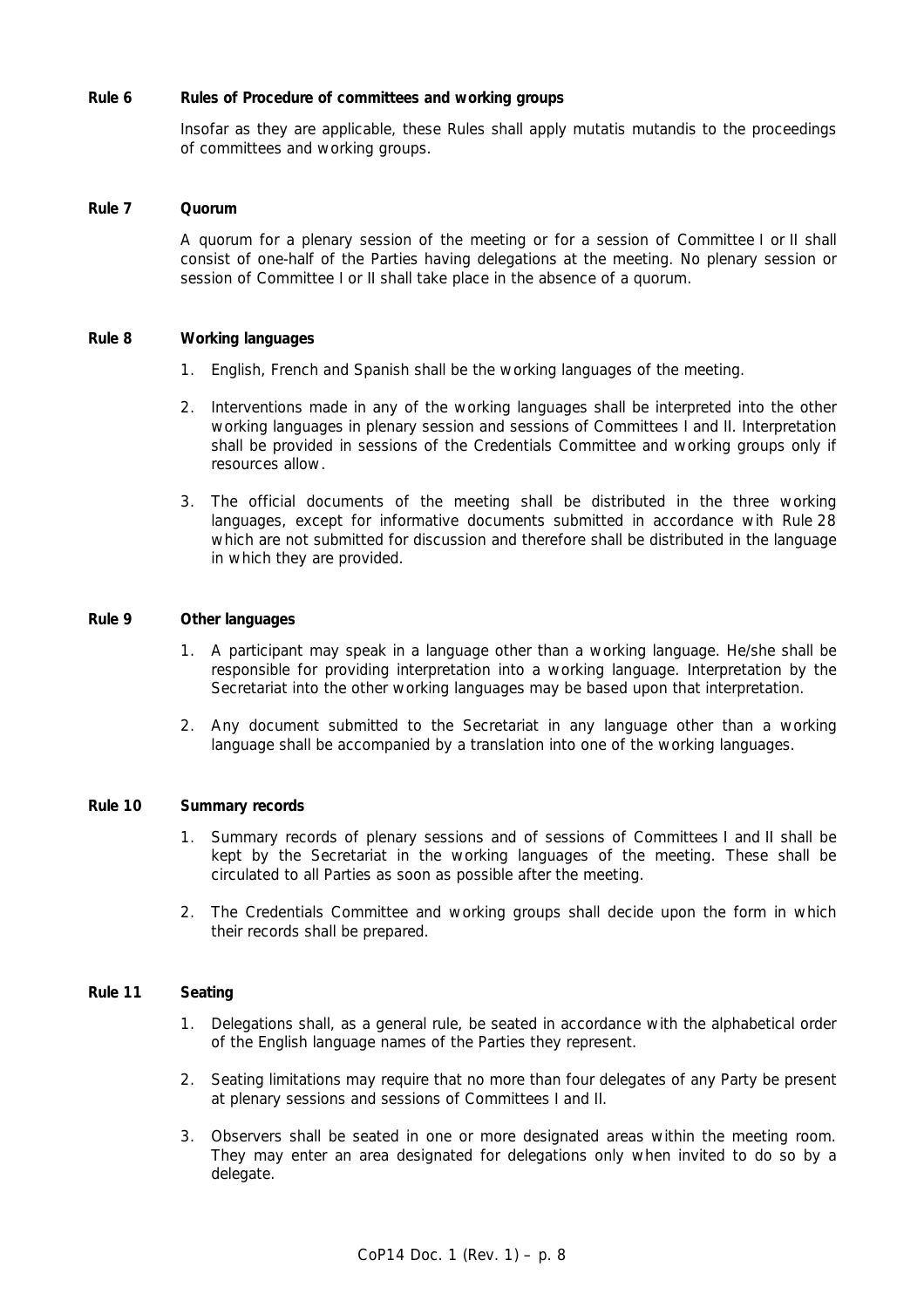#### *Rule 6 Rules of Procedure of committees and working groups*

 Insofar as they are applicable, these Rules shall apply *mutatis mutandis* to the proceedings of committees and working groups.

#### *Rule 7 Quorum*

 A quorum for a plenary session of the meeting or for a session of Committee I or II shall consist of one-half of the Parties having delegations at the meeting. No plenary session or session of Committee I or II shall take place in the absence of a quorum.

#### *Rule 8 Working languages*

- 1. English, French and Spanish shall be the working languages of the meeting.
- 2. Interventions made in any of the working languages shall be interpreted into the other working languages in plenary session and sessions of Committees I and II. Interpretation shall be provided in sessions of the Credentials Committee and working groups only if resources allow.
- 3. The official documents of the meeting shall be distributed in the three working languages, except for informative documents submitted in accordance with Rule 28 which are not submitted for discussion and therefore shall be distributed in the language in which they are provided.

#### *Rule 9 Other languages*

- 1. A participant may speak in a language other than a working language. He/she shall be responsible for providing interpretation into a working language. Interpretation by the Secretariat into the other working languages may be based upon that interpretation.
- 2. Any document submitted to the Secretariat in any language other than a working language shall be accompanied by a translation into one of the working languages.

#### *Rule 10 Summary records*

- 1. Summary records of plenary sessions and of sessions of Committees I and II shall be kept by the Secretariat in the working languages of the meeting. These shall be circulated to all Parties as soon as possible after the meeting.
- 2. The Credentials Committee and working groups shall decide upon the form in which their records shall be prepared.

#### *Rule 11 Seating*

- 1. Delegations shall, as a general rule, be seated in accordance with the alphabetical order of the English language names of the Parties they represent.
- 2. Seating limitations may require that no more than four delegates of any Party be present at plenary sessions and sessions of Committees I and II.
- 3. Observers shall be seated in one or more designated areas within the meeting room. They may enter an area designated for delegations only when invited to do so by a delegate.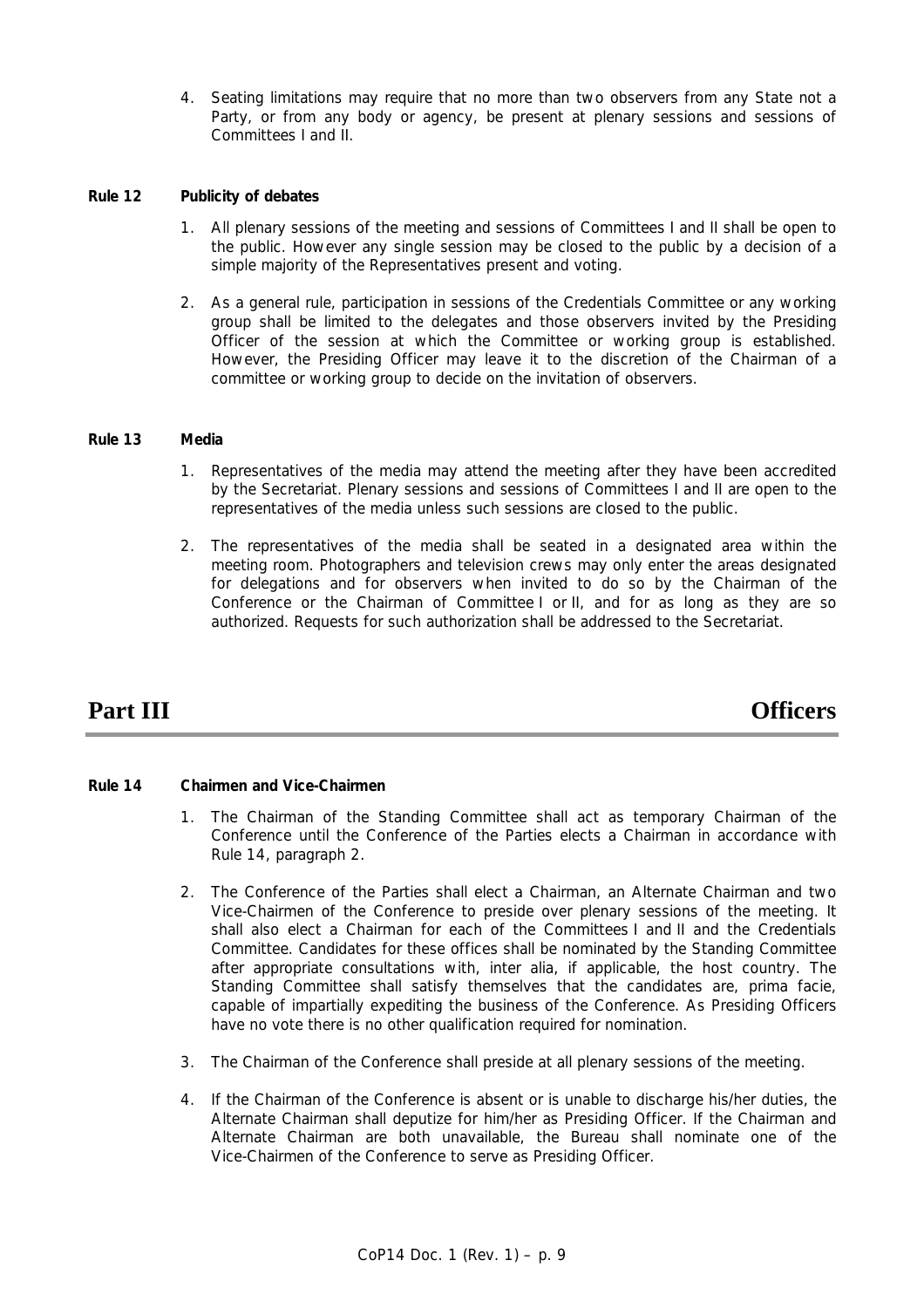4. Seating limitations may require that no more than two observers from any State not a Party, or from any body or agency, be present at plenary sessions and sessions of Committees I and II.

### *Rule 12 Publicity of debates*

- 1. All plenary sessions of the meeting and sessions of Committees I and II shall be open to the public. However any single session may be closed to the public by a decision of a simple majority of the Representatives present and voting.
- 2. As a general rule, participation in sessions of the Credentials Committee or any working group shall be limited to the delegates and those observers invited by the Presiding Officer of the session at which the Committee or working group is established. However, the Presiding Officer may leave it to the discretion of the Chairman of a committee or working group to decide on the invitation of observers.

#### *Rule 13 Media*

- 1. Representatives of the media may attend the meeting after they have been accredited by the Secretariat. Plenary sessions and sessions of Committees I and II are open to the representatives of the media unless such sessions are closed to the public.
- 2. The representatives of the media shall be seated in a designated area within the meeting room. Photographers and television crews may only enter the areas designated for delegations and for observers when invited to do so by the Chairman of the Conference or the Chairman of Committee I or II, and for as long as they are so authorized. Requests for such authorization shall be addressed to the Secretariat.

**Part III** Officers

### *Rule 14 Chairmen and Vice-Chairmen*

- 1. The Chairman of the Standing Committee shall act as temporary Chairman of the Conference until the Conference of the Parties elects a Chairman in accordance with Rule 14, paragraph 2.
- 2. The Conference of the Parties shall elect a Chairman, an Alternate Chairman and two Vice-Chairmen of the Conference to preside over plenary sessions of the meeting. It shall also elect a Chairman for each of the Committees I and II and the Credentials Committee. Candidates for these offices shall be nominated by the Standing Committee after appropriate consultations with, *inter alia*, if applicable, the host country. The Standing Committee shall satisfy themselves that the candidates are, *prima facie*, capable of impartially expediting the business of the Conference. As Presiding Officers have no vote there is no other qualification required for nomination.
- 3. The Chairman of the Conference shall preside at all plenary sessions of the meeting.
- 4. If the Chairman of the Conference is absent or is unable to discharge his/her duties, the Alternate Chairman shall deputize for him/her as Presiding Officer. If the Chairman and Alternate Chairman are both unavailable, the Bureau shall nominate one of the Vice-Chairmen of the Conference to serve as Presiding Officer.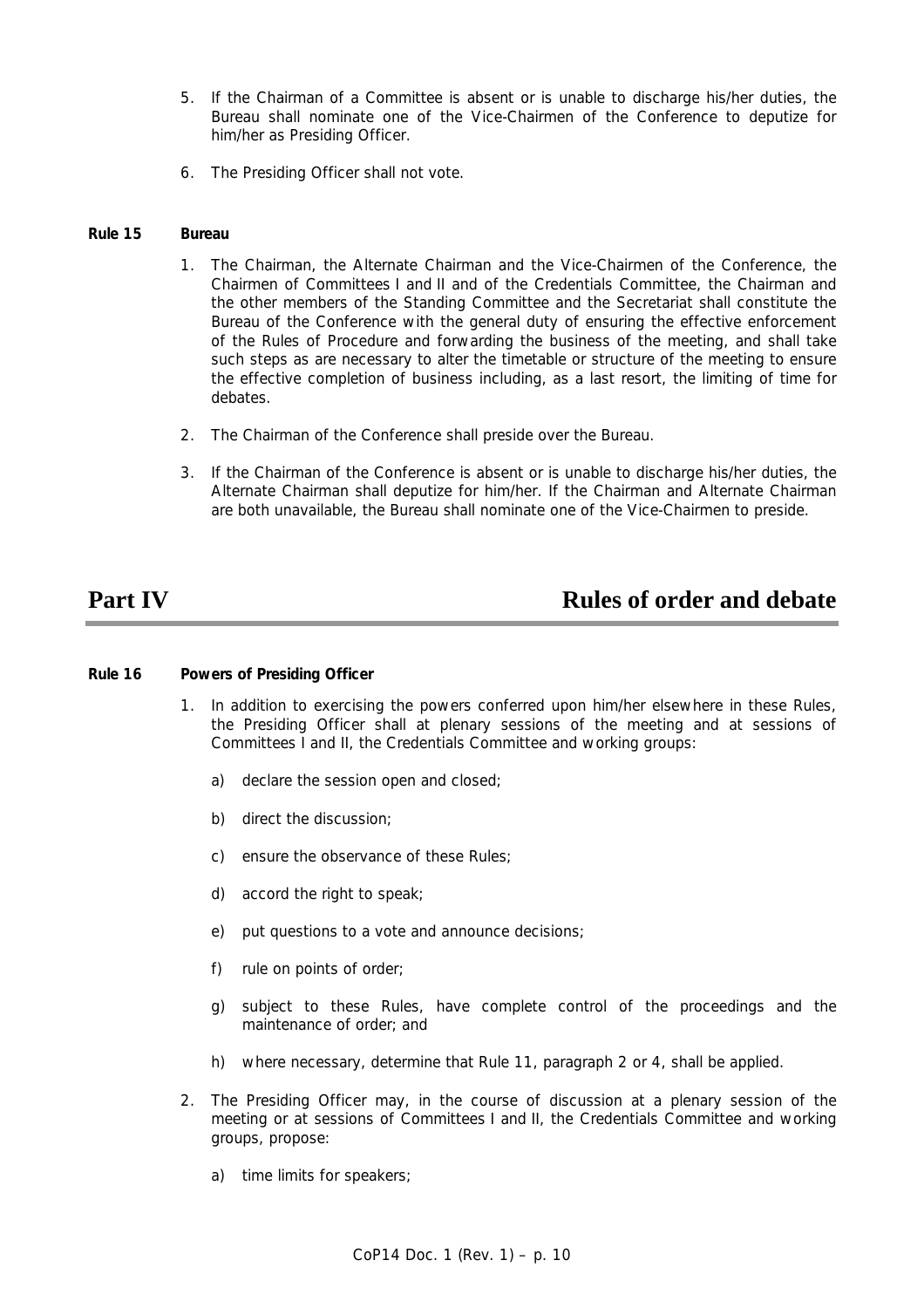- 5. If the Chairman of a Committee is absent or is unable to discharge his/her duties, the Bureau shall nominate one of the Vice-Chairmen of the Conference to deputize for him/her as Presiding Officer.
- 6. The Presiding Officer shall not vote.

#### *Rule 15 Bureau*

- 1. The Chairman, the Alternate Chairman and the Vice-Chairmen of the Conference, the Chairmen of Committees I and II and of the Credentials Committee, the Chairman and the other members of the Standing Committee and the Secretariat shall constitute the Bureau of the Conference with the general duty of ensuring the effective enforcement of the Rules of Procedure and forwarding the business of the meeting, and shall take such steps as are necessary to alter the timetable or structure of the meeting to ensure the effective completion of business including, as a last resort, the limiting of time for debates.
- 2. The Chairman of the Conference shall preside over the Bureau.
- 3. If the Chairman of the Conference is absent or is unable to discharge his/her duties, the Alternate Chairman shall deputize for him/her. If the Chairman and Alternate Chairman are both unavailable, the Bureau shall nominate one of the Vice-Chairmen to preside.

## **Part IV** Rules of order and debate

#### *Rule 16 Powers of Presiding Officer*

- 1. In addition to exercising the powers conferred upon him/her elsewhere in these Rules, the Presiding Officer shall at plenary sessions of the meeting and at sessions of Committees I and II, the Credentials Committee and working groups:
	- a) declare the session open and closed;
	- b) direct the discussion;
	- c) ensure the observance of these Rules;
	- d) accord the right to speak;
	- e) put questions to a vote and announce decisions;
	- f) rule on points of order;
	- g) subject to these Rules, have complete control of the proceedings and the maintenance of order; and
	- h) where necessary, determine that Rule 11, paragraph 2 or 4, shall be applied.
- 2. The Presiding Officer may, in the course of discussion at a plenary session of the meeting or at sessions of Committees I and II, the Credentials Committee and working groups, propose:
	- a) time limits for speakers;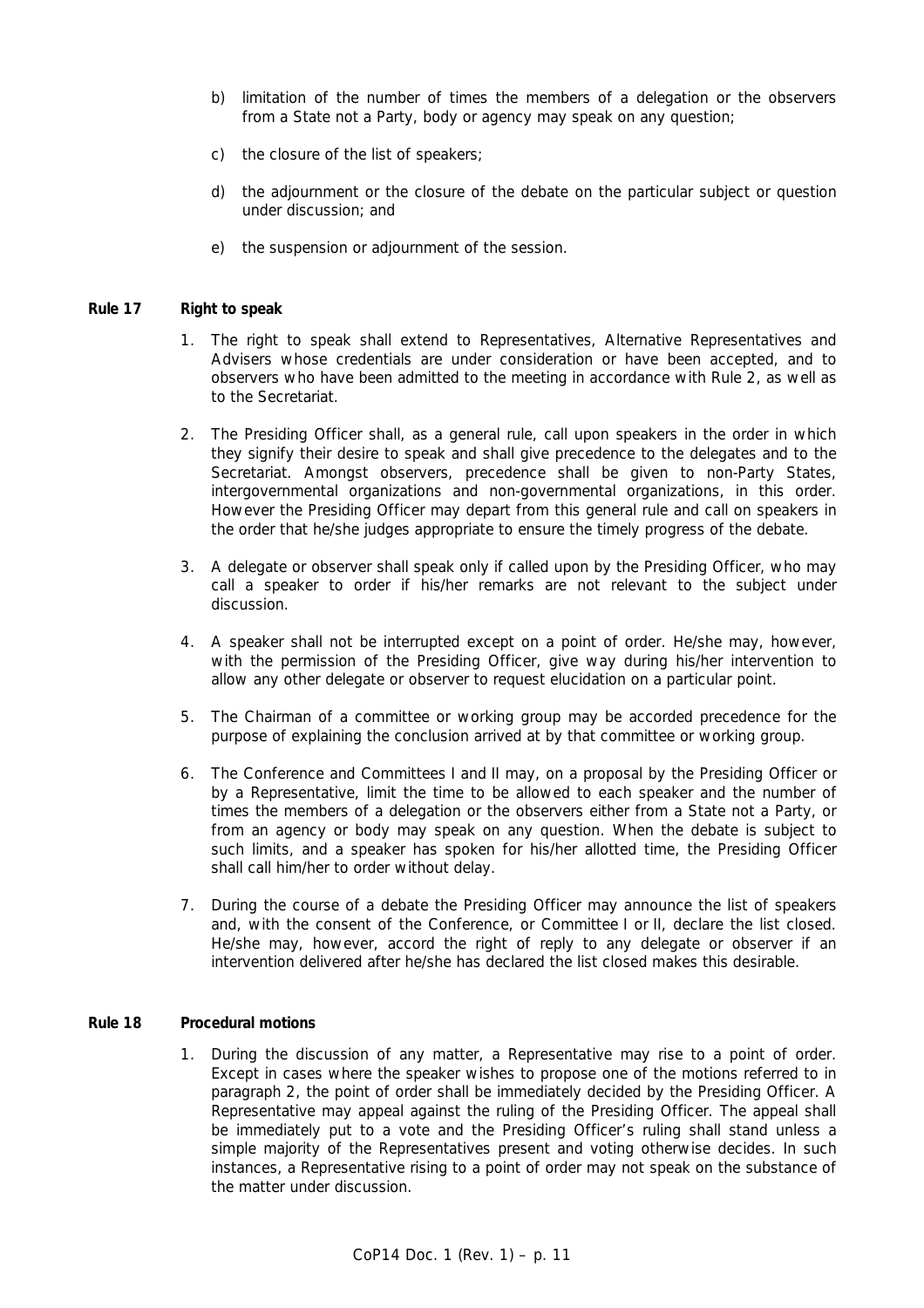- b) limitation of the number of times the members of a delegation or the observers from a State not a Party, body or agency may speak on any question;
- c) the closure of the list of speakers;
- d) the adjournment or the closure of the debate on the particular subject or question under discussion; and
- e) the suspension or adjournment of the session.

#### *Rule 17 Right to speak*

- 1. The right to speak shall extend to Representatives, Alternative Representatives and Advisers whose credentials are under consideration or have been accepted, and to observers who have been admitted to the meeting in accordance with Rule 2, as well as to the Secretariat.
- 2. The Presiding Officer shall, as a general rule, call upon speakers in the order in which they signify their desire to speak and shall give precedence to the delegates and to the Secretariat. Amongst observers, precedence shall be given to non-Party States, intergovernmental organizations and non-governmental organizations, in this order. However the Presiding Officer may depart from this general rule and call on speakers in the order that he/she judges appropriate to ensure the timely progress of the debate.
- 3. A delegate or observer shall speak only if called upon by the Presiding Officer, who may call a speaker to order if his/her remarks are not relevant to the subject under discussion.
- 4. A speaker shall not be interrupted except on a point of order. He/she may, however, with the permission of the Presiding Officer, give way during his/her intervention to allow any other delegate or observer to request elucidation on a particular point.
- 5. The Chairman of a committee or working group may be accorded precedence for the purpose of explaining the conclusion arrived at by that committee or working group.
- 6. The Conference and Committees I and II may, on a proposal by the Presiding Officer or by a Representative, limit the time to be allowed to each speaker and the number of times the members of a delegation or the observers either from a State not a Party, or from an agency or body may speak on any question. When the debate is subject to such limits, and a speaker has spoken for his/her allotted time, the Presiding Officer shall call him/her to order without delay.
- 7. During the course of a debate the Presiding Officer may announce the list of speakers and, with the consent of the Conference, or Committee I or II, declare the list closed. He/she may, however, accord the right of reply to any delegate or observer if an intervention delivered after he/she has declared the list closed makes this desirable.

#### *Rule 18 Procedural motions*

 1. During the discussion of any matter, a Representative may rise to a point of order. Except in cases where the speaker wishes to propose one of the motions referred to in paragraph 2, the point of order shall be immediately decided by the Presiding Officer. A Representative may appeal against the ruling of the Presiding Officer. The appeal shall be immediately put to a vote and the Presiding Officer's ruling shall stand unless a simple majority of the Representatives present and voting otherwise decides. In such instances, a Representative rising to a point of order may not speak on the substance of the matter under discussion.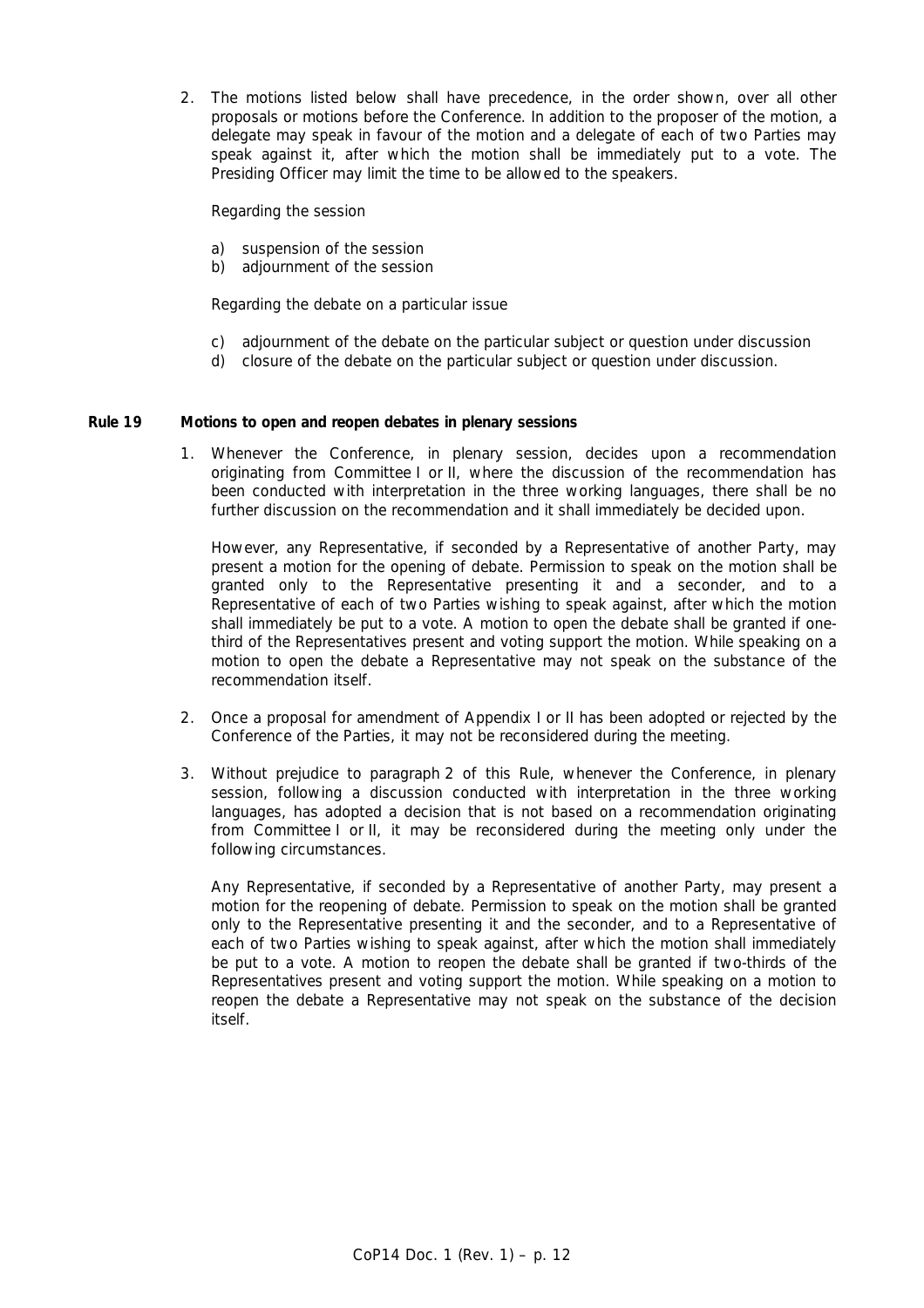2. The motions listed below shall have precedence, in the order shown, over all other proposals or motions before the Conference. In addition to the proposer of the motion, a delegate may speak in favour of the motion and a delegate of each of two Parties may speak against it, after which the motion shall be immediately put to a vote. The Presiding Officer may limit the time to be allowed to the speakers.

Regarding the session

- a) suspension of the session
- b) adjournment of the session

Regarding the debate on a particular issue

- c) adjournment of the debate on the particular subject or question under discussion
- d) closure of the debate on the particular subject or question under discussion.

#### *Rule 19 Motions to open and reopen debates in plenary sessions*

 1. Whenever the Conference, in plenary session, decides upon a recommendation originating from Committee I or II, where the discussion of the recommendation has been conducted with interpretation in the three working languages, there shall be no further discussion on the recommendation and it shall immediately be decided upon.

 However, any Representative, if seconded by a Representative of another Party, may present a motion for the opening of debate. Permission to speak on the motion shall be granted only to the Representative presenting it and a seconder, and to a Representative of each of two Parties wishing to speak against, after which the motion shall immediately be put to a vote. A motion to open the debate shall be granted if onethird of the Representatives present and voting support the motion. While speaking on a motion to open the debate a Representative may not speak on the substance of the recommendation itself.

- 2. Once a proposal for amendment of Appendix I or II has been adopted or rejected by the Conference of the Parties, it may not be reconsidered during the meeting.
- 3. Without prejudice to paragraph 2 of this Rule, whenever the Conference, in plenary session, following a discussion conducted with interpretation in the three working languages, has adopted a decision that is not based on a recommendation originating from Committee I or II, it may be reconsidered during the meeting only under the following circumstances.

 Any Representative, if seconded by a Representative of another Party, may present a motion for the reopening of debate. Permission to speak on the motion shall be granted only to the Representative presenting it and the seconder, and to a Representative of each of two Parties wishing to speak against, after which the motion shall immediately be put to a vote. A motion to reopen the debate shall be granted if two-thirds of the Representatives present and voting support the motion. While speaking on a motion to reopen the debate a Representative may not speak on the substance of the decision itself.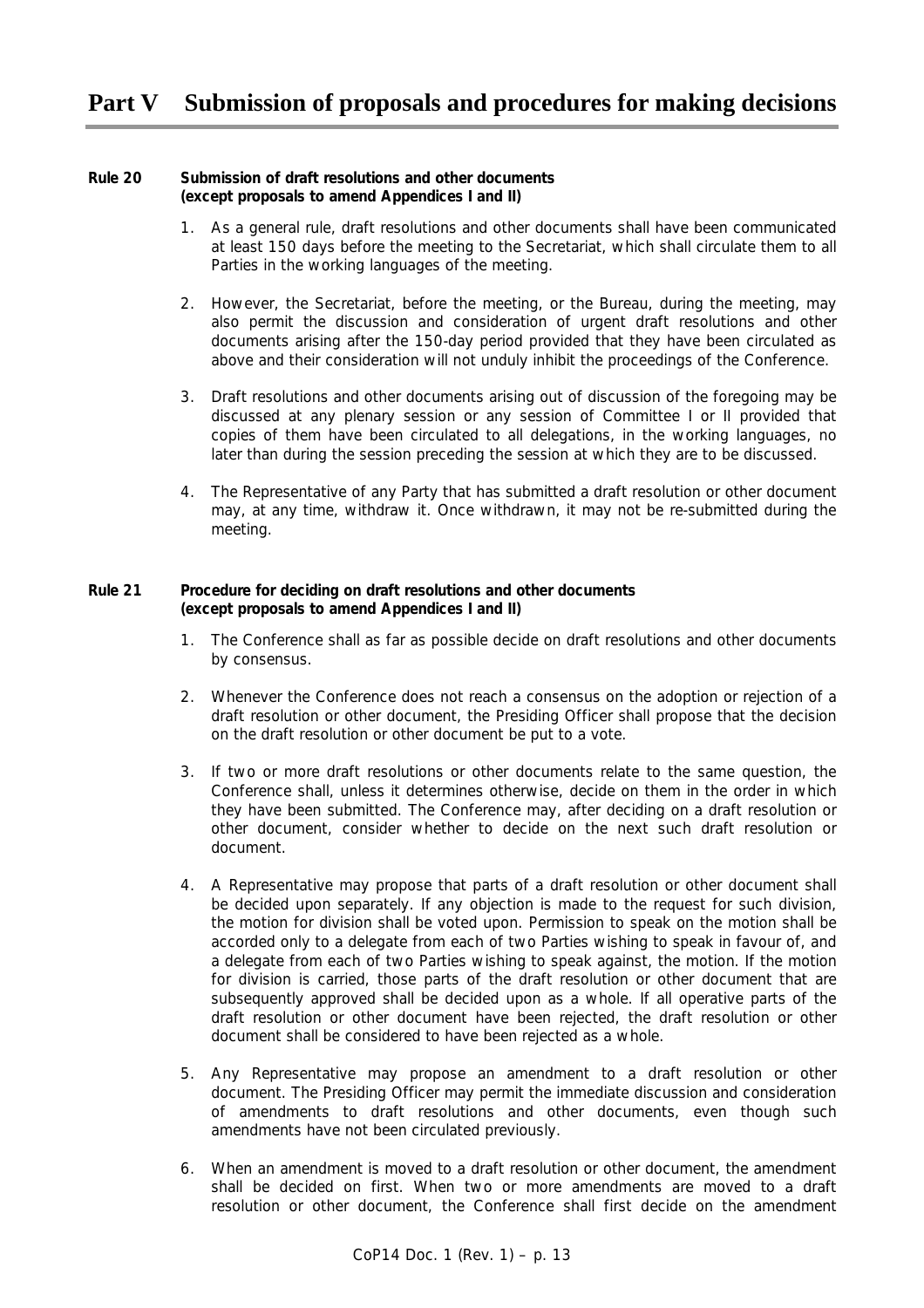## **Part V Submission of proposals and procedures for making decisions**

#### *Rule 20 Submission of draft resolutions and other documents (except proposals to amend Appendices I and II)*

- 1. As a general rule, draft resolutions and other documents shall have been communicated at least 150 days before the meeting to the Secretariat, which shall circulate them to all Parties in the working languages of the meeting.
- 2. However, the Secretariat, before the meeting, or the Bureau, during the meeting, may also permit the discussion and consideration of urgent draft resolutions and other documents arising after the 150-day period provided that they have been circulated as above and their consideration will not unduly inhibit the proceedings of the Conference.
- 3. Draft resolutions and other documents arising out of discussion of the foregoing may be discussed at any plenary session or any session of Committee I or II provided that copies of them have been circulated to all delegations, in the working languages, no later than during the session preceding the session at which they are to be discussed.
- 4. The Representative of any Party that has submitted a draft resolution or other document may, at any time, withdraw it. Once withdrawn, it may not be re-submitted during the meeting.

### *Rule 21 Procedure for deciding on draft resolutions and other documents (except proposals to amend Appendices I and II)*

- 1. The Conference shall as far as possible decide on draft resolutions and other documents by consensus.
- 2. Whenever the Conference does not reach a consensus on the adoption or rejection of a draft resolution or other document, the Presiding Officer shall propose that the decision on the draft resolution or other document be put to a vote.
- 3. If two or more draft resolutions or other documents relate to the same question, the Conference shall, unless it determines otherwise, decide on them in the order in which they have been submitted. The Conference may, after deciding on a draft resolution or other document, consider whether to decide on the next such draft resolution or document.
- 4. A Representative may propose that parts of a draft resolution or other document shall be decided upon separately. If any objection is made to the request for such division, the motion for division shall be voted upon. Permission to speak on the motion shall be accorded only to a delegate from each of two Parties wishing to speak in favour of, and a delegate from each of two Parties wishing to speak against, the motion. If the motion for division is carried, those parts of the draft resolution or other document that are subsequently approved shall be decided upon as a whole. If all operative parts of the draft resolution or other document have been rejected, the draft resolution or other document shall be considered to have been rejected as a whole.
- 5. Any Representative may propose an amendment to a draft resolution or other document. The Presiding Officer may permit the immediate discussion and consideration of amendments to draft resolutions and other documents, even though such amendments have not been circulated previously.
- 6. When an amendment is moved to a draft resolution or other document, the amendment shall be decided on first. When two or more amendments are moved to a draft resolution or other document, the Conference shall first decide on the amendment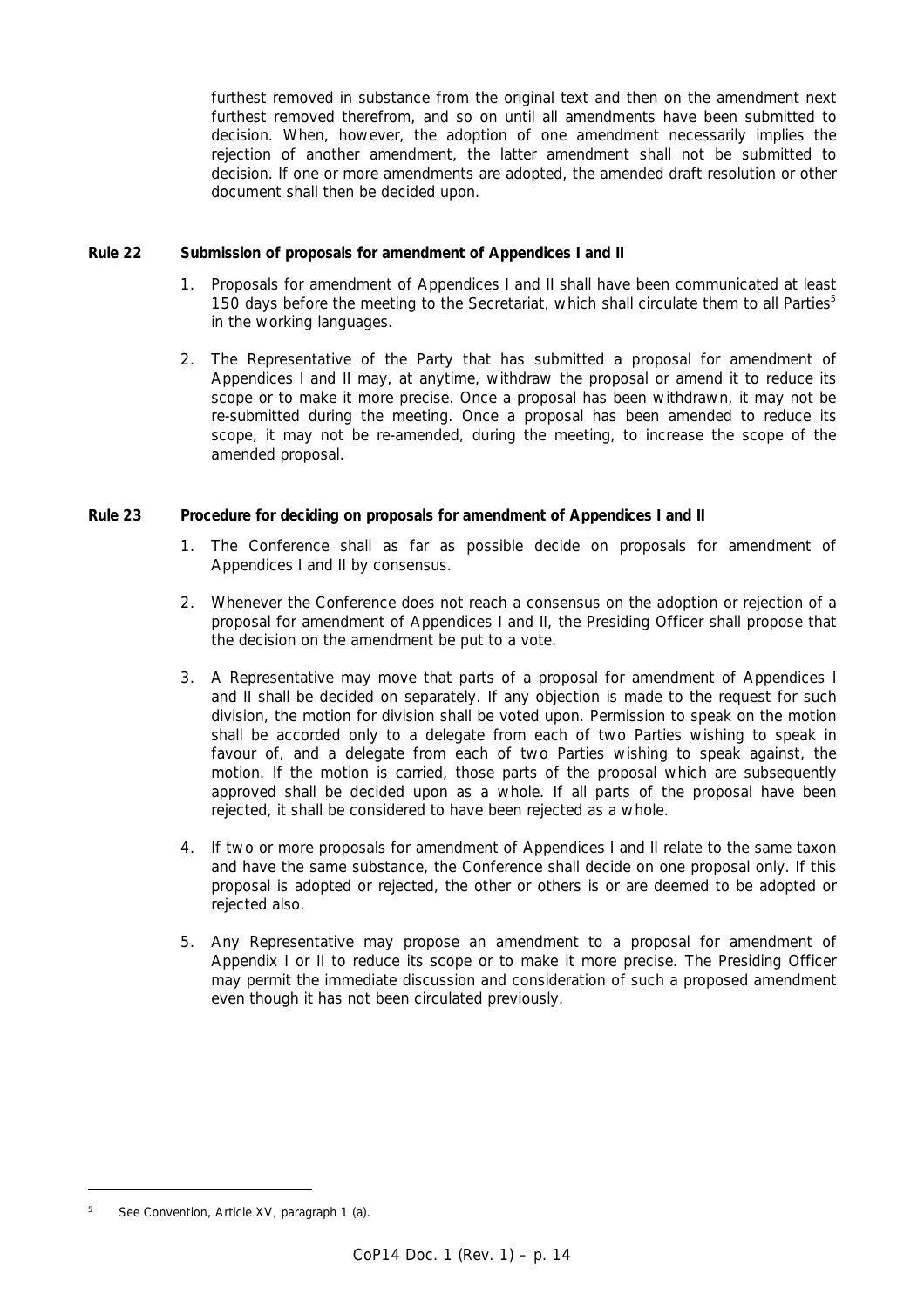furthest removed in substance from the original text and then on the amendment next furthest removed therefrom, and so on until all amendments have been submitted to decision. When, however, the adoption of one amendment necessarily implies the rejection of another amendment, the latter amendment shall not be submitted to decision. If one or more amendments are adopted, the amended draft resolution or other document shall then be decided upon.

### *Rule 22 Submission of proposals for amendment of Appendices I and II*

- 1. Proposals for amendment of Appendices I and II shall have been communicated at least 150 days before the meeting to the Secretariat, which shall circulate them to all Parties<sup>5</sup> in the working languages.
- 2. The Representative of the Party that has submitted a proposal for amendment of Appendices I and II may, at anytime, withdraw the proposal or amend it to reduce its scope or to make it more precise. Once a proposal has been withdrawn, it may not be re-submitted during the meeting. Once a proposal has been amended to reduce its scope, it may not be re-amended, during the meeting, to increase the scope of the amended proposal.

### *Rule 23 Procedure for deciding on proposals for amendment of Appendices I and II*

- 1. The Conference shall as far as possible decide on proposals for amendment of Appendices I and II by consensus.
- 2. Whenever the Conference does not reach a consensus on the adoption or rejection of a proposal for amendment of Appendices I and II, the Presiding Officer shall propose that the decision on the amendment be put to a vote.
- 3. A Representative may move that parts of a proposal for amendment of Appendices I and II shall be decided on separately. If any objection is made to the request for such division, the motion for division shall be voted upon. Permission to speak on the motion shall be accorded only to a delegate from each of two Parties wishing to speak in favour of, and a delegate from each of two Parties wishing to speak against, the motion. If the motion is carried, those parts of the proposal which are subsequently approved shall be decided upon as a whole. If all parts of the proposal have been rejected, it shall be considered to have been rejected as a whole.
- 4. If two or more proposals for amendment of Appendices I and II relate to the same taxon and have the same substance, the Conference shall decide on one proposal only. If this proposal is adopted or rejected, the other or others is or are deemed to be adopted or rejected also.
- 5. Any Representative may propose an amendment to a proposal for amendment of Appendix I or II to reduce its scope or to make it more precise. The Presiding Officer may permit the immediate discussion and consideration of such a proposed amendment even though it has not been circulated previously.

*<sup>5</sup> See Convention, Article XV, paragraph 1 (a).*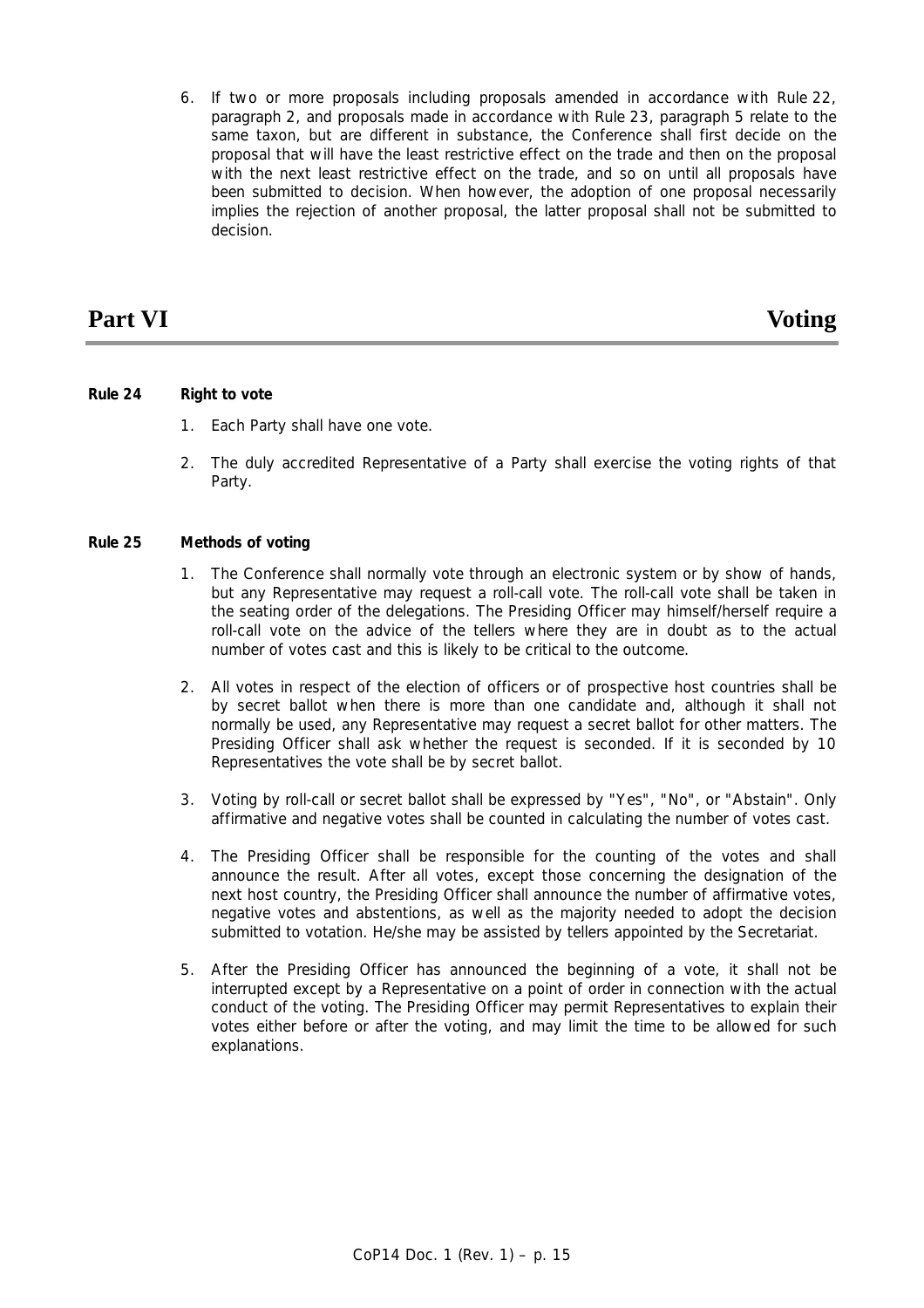6. If two or more proposals including proposals amended in accordance with Rule 22, paragraph 2, and proposals made in accordance with Rule 23, paragraph 5 relate to the same taxon, but are different in substance, the Conference shall first decide on the proposal that will have the least restrictive effect on the trade and then on the proposal with the next least restrictive effect on the trade, and so on until all proposals have been submitted to decision. When however, the adoption of one proposal necessarily implies the rejection of another proposal, the latter proposal shall not be submitted to decision.

## **Part VI** Voting

### *Rule 24 Right to vote*

- 1. Each Party shall have one vote.
- 2. The duly accredited Representative of a Party shall exercise the voting rights of that Party.

### *Rule 25 Methods of voting*

- 1. The Conference shall normally vote through an electronic system or by show of hands, but any Representative may request a roll-call vote. The roll-call vote shall be taken in the seating order of the delegations. The Presiding Officer may himself/herself require a roll-call vote on the advice of the tellers where they are in doubt as to the actual number of votes cast and this is likely to be critical to the outcome.
- 2. All votes in respect of the election of officers or of prospective host countries shall be by secret ballot when there is more than one candidate and, although it shall not normally be used, any Representative may request a secret ballot for other matters. The Presiding Officer shall ask whether the request is seconded. If it is seconded by 10 Representatives the vote shall be by secret ballot.
- 3. Voting by roll-call or secret ballot shall be expressed by "Yes", "No", or "Abstain". Only affirmative and negative votes shall be counted in calculating the number of votes cast.
- 4. The Presiding Officer shall be responsible for the counting of the votes and shall announce the result. After all votes, except those concerning the designation of the next host country, the Presiding Officer shall announce the number of affirmative votes, negative votes and abstentions, as well as the majority needed to adopt the decision submitted to votation. He/she may be assisted by tellers appointed by the Secretariat.
- 5. After the Presiding Officer has announced the beginning of a vote, it shall not be interrupted except by a Representative on a point of order in connection with the actual conduct of the voting. The Presiding Officer may permit Representatives to explain their votes either before or after the voting, and may limit the time to be allowed for such explanations.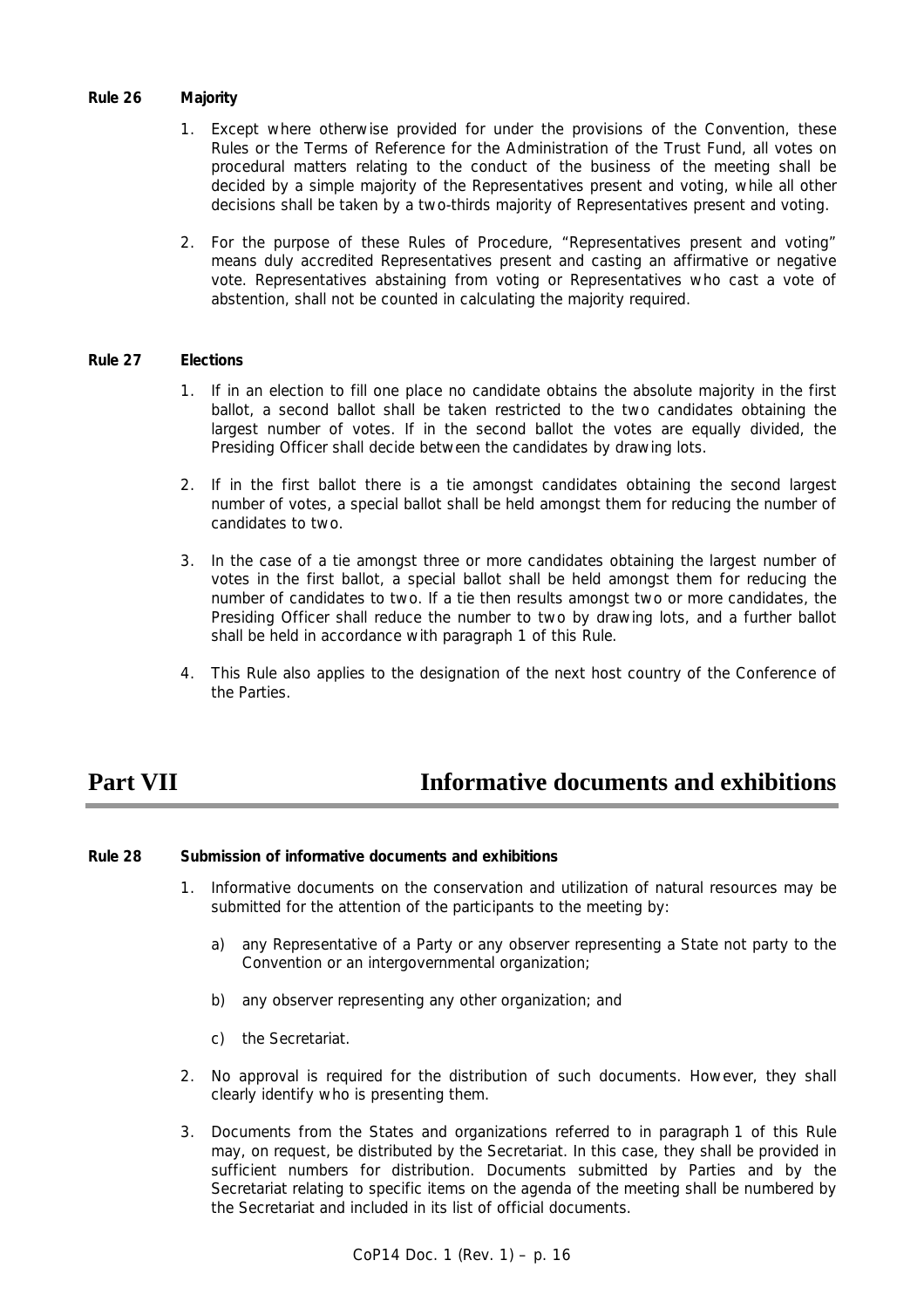#### *Rule 26 Majority*

- 1. Except where otherwise provided for under the provisions of the Convention, these Rules or the Terms of Reference for the Administration of the Trust Fund, all votes on procedural matters relating to the conduct of the business of the meeting shall be decided by a simple majority of the Representatives present and voting, while all other decisions shall be taken by a two-thirds majority of Representatives present and voting.
- 2. For the purpose of these Rules of Procedure, "Representatives present and voting" means duly accredited Representatives present and casting an affirmative or negative vote. Representatives abstaining from voting or Representatives who cast a vote of abstention, shall not be counted in calculating the majority required.

#### *Rule 27 Elections*

- 1. If in an election to fill one place no candidate obtains the absolute majority in the first ballot, a second ballot shall be taken restricted to the two candidates obtaining the largest number of votes. If in the second ballot the votes are equally divided, the Presiding Officer shall decide between the candidates by drawing lots.
- 2. If in the first ballot there is a tie amongst candidates obtaining the second largest number of votes, a special ballot shall be held amongst them for reducing the number of candidates to two.
- 3. In the case of a tie amongst three or more candidates obtaining the largest number of votes in the first ballot, a special ballot shall be held amongst them for reducing the number of candidates to two. If a tie then results amongst two or more candidates, the Presiding Officer shall reduce the number to two by drawing lots, and a further ballot shall be held in accordance with paragraph 1 of this Rule.
- 4. This Rule also applies to the designation of the next host country of the Conference of the Parties.

# **Part VII Informative documents and exhibitions**

#### *Rule 28 Submission of informative documents and exhibitions*

- 1. Informative documents on the conservation and utilization of natural resources may be submitted for the attention of the participants to the meeting by:
	- a) any Representative of a Party or any observer representing a State not party to the Convention or an intergovernmental organization;
	- b) any observer representing any other organization; and
	- c) the Secretariat.
- 2. No approval is required for the distribution of such documents. However, they shall clearly identify who is presenting them.
- 3. Documents from the States and organizations referred to in paragraph 1 of this Rule may, on request, be distributed by the Secretariat. In this case, they shall be provided in sufficient numbers for distribution. Documents submitted by Parties and by the Secretariat relating to specific items on the agenda of the meeting shall be numbered by the Secretariat and included in its list of official documents.